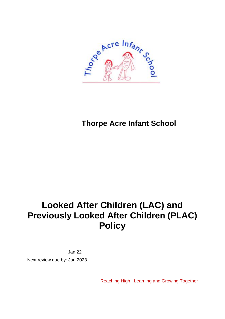

**Thorpe Acre Infant School** 

# **Looked After Children (LAC) and Previously Looked After Children (PLAC) Policy**

Jan 22 Next review due by: Jan 2023

Reaching High , Learning and Growing Together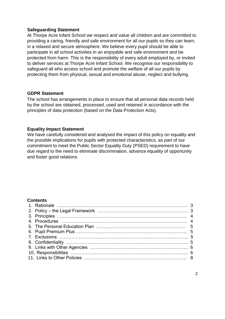#### **Safeguarding Statement**

At Thorpe Acre Infant School we respect and value all children and are committed to providing a caring, friendly and safe environment for all our pupils so they can learn, in a relaxed and secure atmosphere. We believe every pupil should be able to participate in all school activities in an enjoyable and safe environment and be protected from harm. This is the responsibility of every adult employed by, or invited to deliver services at Thorpe Acre Infant School. We recognise our responsibility to safeguard all who access school and promote the welfare of all our pupils by protecting them from physical, sexual and emotional abuse, neglect and bullying.

#### **GDPR Statement**

The school has arrangements in place to ensure that all personal data records held by the school are obtained, processed, used and retained in accordance with the principles of data protection (based on the Data Protection Acts).

#### **Equality Impact Statement**

We have carefully considered and analysed the impact of this policy on equality and the possible implications for pupils with protected characteristics, as part of our commitment to meet the Public Sector Equality Duty (PSED) requirement to have due regard to the need to eliminate discrimination, advance equality of opportunity and foster good relations.

#### **Contents**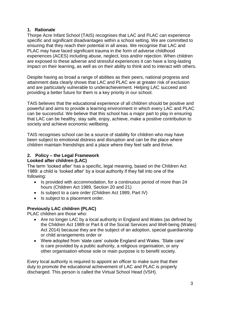#### **1. Rationale**

Thorpe Acre Infant School (TAIS) recognises that LAC and PLAC can experience specific and significant disadvantages within a school setting. We are committed to ensuring that they reach their potential in all areas. We recognise that LAC and PLAC may have faced significant trauma in the form of adverse childhood experiences (ACES) including abuse, neglect, loss and/or rejection. When children are exposed to these adverse and stressful experiences it can have a long-lasting impact on their learning, as well as on their ability to think and to interact with others.

Despite having as broad a range of abilities as their peers, national progress and attainment data clearly shows that LAC and PLAC are at greater risk of exclusion and are particularly vulnerable to underachievement. Helping LAC succeed and providing a better future for them is a key priority in our school.

TAIS believes that the educational experience of all children should be positive and powerful and aims to provide a learning environment in which every LAC and PLAC can be successful. We believe that this school has a major part to play in ensuring that LAC can be healthy, stay safe, enjoy, achieve, make a positive contribution to society and achieve economic wellbeing.

TAIS recognises school can be a source of stability for children who may have been subject to emotional distress and disruption and can be the place where children maintain friendships and a place where they feel safe and thrive.

## **2. Policy – the Legal Framework**

#### **Looked after children (LAC)**

The term 'looked after' has a specific, legal meaning, based on the Children Act 1989: a child is 'looked after' by a local authority if they fall into one of the following:

- Is provided with accommodation, for a continuous period of more than 24 hours (Children Act 1989, Section 20 and 21)
- Is subject to a care order (Children Act 1989, Part IV)
- Is subject to a placement order.

#### **Previously LAC children (PLAC)**

PLAC children are those who:

- Are no longer LAC by a local authority in England and Wales (as defined by the Children Act 1989 or Part 6 of the Social Services and Well-being (Wales) Act 2014) because they are the subject of an adoption, special guardianship or child arrangements order or
- Were adopted from 'state care' outside England and Wales. 'State care' is care provided by a public authority, a religious organisation, or any other organisation whose sole or main purpose is to benefit society.

Every local authority is required to appoint an officer to make sure that their duty to promote the educational achievement of LAC and PLAC is properly discharged. This person is called the Virtual School Head (VSH).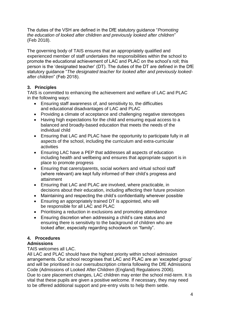The duties of the VSH are defined in the DfE statutory guidance "*Promoting the education of looked after children and previously looked after children*" (Feb 2018).

The governing body of TAIS ensures that an appropriately qualified and experienced member of staff undertakes the responsibilities within the school to promote the educational achievement of LAC and PLAC on the school's roll; this person is the 'designated teacher' (DT). The duties of the DT are defined in the DfE statutory guidance "*The designated teacher for looked after and previously lookedafter children*" (Feb 2018).

# **3. Principles**

TAIS is committed to enhancing the achievement and welfare of LAC and PLAC in the following ways:

- Ensuring staff awareness of, and sensitivity to, the difficulties and educational disadvantages of LAC and PLAC
- Providing a climate of acceptance and challenging negative stereotypes
- Having high expectations for the child and ensuring equal access to a balanced and broadly-based education that meets the needs of the individual child
- Ensuring that LAC and PLAC have the opportunity to participate fully in all aspects of the school, including the curriculum and extra-curricular activities
- Ensuring LAC have a PEP that addresses all aspects of education including health and wellbeing and ensures that appropriate support is in place to promote progress
- Ensuring that carers/parents, social workers and virtual school staff (where relevant) are kept fully informed of their child's progress and attainment
- Ensuring that LAC and PLAC are involved, where practicable, in decisions about their education, including affecting their future provision
- Maintaining and respecting the child's confidentiality wherever possible
- Ensuring an appropriately trained DT is appointed, who will be responsible for all LAC and PLAC
- Prioritising a reduction in exclusions and promoting attendance
- Ensuring discretion when addressing a child's care status and ensuring there is sensitivity to the background of children who are looked after, especially regarding schoolwork on "family".

# **4. Procedures**

# **Admissions**

TAIS welcomes all LAC.

All LAC and PLAC should have the highest priority within school admission arrangements. Our school recognises that LAC and PLAC are an 'excepted group' and will be prioritised in our oversubscription criteria following the DfE Admissions Code (Admissions of Looked After Children (England) Regulations 2006).

Due to care placement changes, LAC children may enter the school mid-term. It is vital that these pupils are given a positive welcome. If necessary, they may need to be offered additional support and pre-entry visits to help them settle.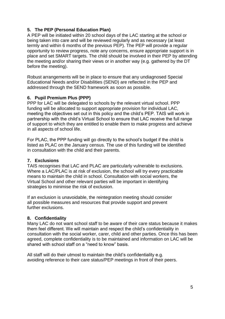## **5. The PEP (Personal Education Plan)**

A PEP will be initiated within 20 school days of the LAC starting at the school or being taken into care and will be reviewed regularly and as necessary (at least termly and within 6 months of the previous PEP). The PEP will provide a regular opportunity to review progress, note any concerns, ensure appropriate support is in place and set SMART targets. The child should be involved in their PEP by attending the meeting and/or sharing their views or in another way (e.g. gathered by the DT before the meeting).

Robust arrangements will be in place to ensure that any undiagnosed Special Educational Needs and/or Disabilities (SEND) are reflected in the PEP and addressed through the SEND framework as soon as possible.

#### **6. Pupil Premium Plus (PPP)**

PPP for LAC will be delegated to schools by the relevant virtual school. PPP funding will be allocated to support appropriate provision for individual LAC, meeting the objectives set out in this policy and the child's PEP. TAIS will work in partnership with the child's Virtual School to ensure that LAC receive the full range of support to which they are entitled to enable them to make progress and achieve in all aspects of school life.

For PLAC, the PPP funding will go directly to the school's budget if the child is listed as PLAC on the January census. The use of this funding will be identified in consultation with the child and their parents.

#### **7. Exclusions**

TAIS recognises that LAC and PLAC are particularly vulnerable to exclusions. Where a LAC/PLAC is at risk of exclusion, the school will try every practicable means to maintain the child in school. Consultation with social workers, the Virtual School and other relevant parties will be important in identifying strategies to minimise the risk of exclusion.

If an exclusion is unavoidable, the reintegration meeting should consider all possible measures and resources that provide support and prevent further exclusions.

#### **8. Confidentiality**

Many LAC do not want school staff to be aware of their care status because it makes them feel different. We will maintain and respect the child's confidentiality in consultation with the social worker, carer, child and other parties. Once this has been agreed, complete confidentiality is to be maintained and information on LAC will be shared with school staff on a "need to know" basis.

All staff will do their utmost to maintain the child's confidentiality e.g. avoiding reference to their care status/PEP meetings in front of their peers.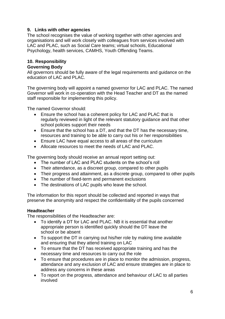#### **9. Links with other agencies**

The school recognises the value of working together with other agencies and organisations and will work closely with colleagues from services involved with LAC and PLAC, such as Social Care teams; virtual schools, Educational Psychology, health services, CAMHS, Youth Offending Teams.

# **10. Responsibility**

# **Governing Body**

All governors should be fully aware of the legal requirements and guidance on the education of LAC and PLAC.

The governing body will appoint a named governor for LAC and PLAC. The named Governor will work in co-operation with the Head Teacher and DT as the named staff responsible for implementing this policy.

The named Governor should:

- Ensure the school has a coherent policy for LAC and PLAC that is regularly reviewed in light of the relevant statutory guidance and that other school policies support their needs
- Ensure that the school has a DT, and that the DT has the necessary time, resources and training to be able to carry out his or her responsibilities
- Ensure LAC have equal access to all areas of the curriculum
- Allocate resources to meet the needs of LAC and PLAC.

The governing body should receive an annual report setting out:

- The number of LAC and PLAC students on the school's roll
- Their attendance, as a discreet group, compared to other pupils
- Their progress and attainment, as a discrete group, compared to other pupils
- The number of fixed-term and permanent exclusions
- The destinations of LAC pupils who leave the school.

The information for this report should be collected and reported in ways that preserve the anonymity and respect the confidentiality of the pupils concerned

#### **Headteacher**

The responsibilities of the Headteacher are:

- To identify a DT for LAC and PLAC. NB it is essential that another appropriate person is identified quickly should the DT leave the school or be absent
- To support the DT in carrying out his/her role by making time available and ensuring that they attend training on LAC
- To ensure that the DT has received appropriate training and has the necessary time and resources to carry out the role
- To ensure that procedures are in place to monitor the admission, progress, attendance and any exclusion of LAC and ensure strategies are in place to address any concerns in these areas
- To report on the progress, attendance and behaviour of LAC to all parties involved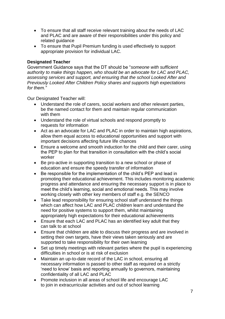- To ensure that all staff receive relevant training about the needs of LAC and PLAC and are aware of their responsibilities under this policy and related guidance
- To ensure that Pupil Premium funding is used effectively to support appropriate provision for individual LAC.

#### **Designated Teacher**

Government Guidance says that the DT should be "*someone with sufficient authority to make things happen, who should be an advocate for LAC and PLAC, assessing services and support, and ensuring that the school Looked After and Previously Looked After Children Policy shares and supports high expectations for them."*

Our Designated Teacher will:

- Understand the role of carers, social workers and other relevant parties, be the named contact for them and maintain regular communication with them
- Understand the role of virtual schools and respond promptly to requests for information
- Act as an advocate for LAC and PLAC in order to maintain high aspirations, allow them equal access to educational opportunities and support with important decisions affecting future life chances
- Ensure a welcome and smooth induction for the child and their carer, using the PEP to plan for that transition in consultation with the child's social worker
- Be pro-active in supporting transition to a new school or phase of education and ensure the speedy transfer of information
- Be responsible for the implementation of the child's PEP and lead in promoting their educational achievement. This includes monitoring academic progress and attendance and ensuring the necessary support is in place to meet the child's learning, social and emotional needs. This may involve working closely with other key members of staff e.g. the SENCO
- Take lead responsibility for ensuring school staff understand the things which can affect how LAC and PLAC children learn and understand the need for positive systems to support them, whilst maintaining appropriately high expectations for their educational achievements
- Ensure that each LAC and PLAC has an identified key adult that they can talk to at school
- Ensure that children are able to discuss their progress and are involved in setting their own targets, have their views taken seriously and are supported to take responsibility for their own learning
- Set up timely meetings with relevant parties where the pupil is experiencing difficulties in school or is at risk of exclusion
- Maintain an up-to-date record of the LAC in school, ensuring all necessary information is passed to other staff as required on a strictly 'need to know' basis and reporting annually to governors, maintaining confidentiality of all LAC and PLAC
- Promote inclusion in all areas of school life and encourage LAC to join in extracurricular activities and out of school learning